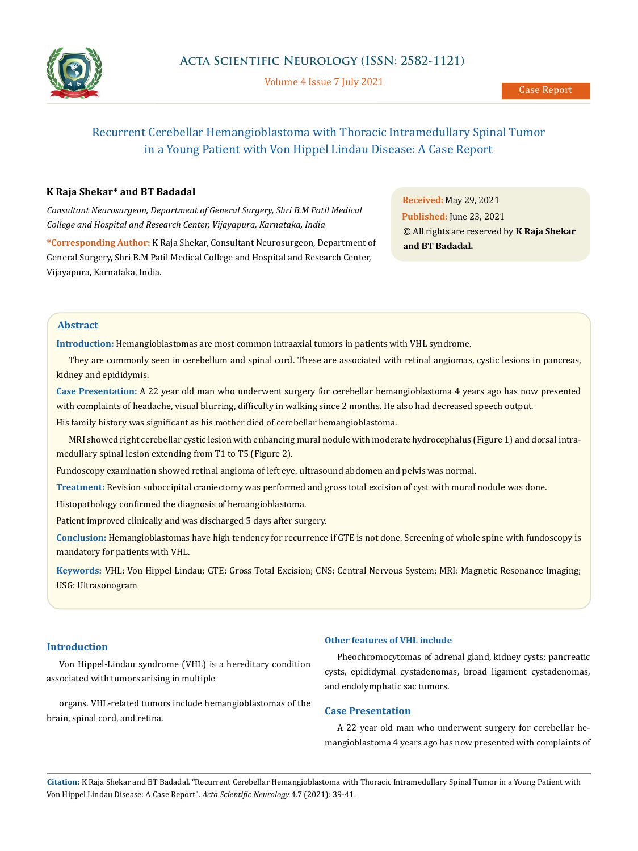

Volume 4 Issue 7 July 2021

# Recurrent Cerebellar Hemangioblastoma with Thoracic Intramedullary Spinal Tumor in a Young Patient with Von Hippel Lindau Disease: A Case Report

## **K Raja Shekar\* and BT Badadal**

*Consultant Neurosurgeon, Department of General Surgery, Shri B.M Patil Medical College and Hospital and Research Center, Vijayapura, Karnataka, India*

**\*Corresponding Author:** K Raja Shekar, Consultant Neurosurgeon, Department of General Surgery, Shri B.M Patil Medical College and Hospital and Research Center, Vijayapura, Karnataka, India.

**Received:** May 29, 2021 **Published:** June 23, 2021 © All rights are reserved by **K Raja Shekar and BT Badadal.**

# **Abstract**

**Introduction:** Hemangioblastomas are most common intraaxial tumors in patients with VHL syndrome.

They are commonly seen in cerebellum and spinal cord. These are associated with retinal angiomas, cystic lesions in pancreas, kidney and epididymis.

**Case Presentation:** A 22 year old man who underwent surgery for cerebellar hemangioblastoma 4 years ago has now presented with complaints of headache, visual blurring, difficulty in walking since 2 months. He also had decreased speech output.

His family history was significant as his mother died of cerebellar hemangioblastoma.

MRI showed right cerebellar cystic lesion with enhancing mural nodule with moderate hydrocephalus (Figure 1) and dorsal intramedullary spinal lesion extending from T1 to T5 (Figure 2).

Fundoscopy examination showed retinal angioma of left eye. ultrasound abdomen and pelvis was normal.

**Treatment:** Revision suboccipital craniectomy was performed and gross total excision of cyst with mural nodule was done.

Histopathology confirmed the diagnosis of hemangioblastoma.

Patient improved clinically and was discharged 5 days after surgery.

**Conclusion:** Hemangioblastomas have high tendency for recurrence if GTE is not done. Screening of whole spine with fundoscopy is mandatory for patients with VHL.

**Keywords:** VHL: Von Hippel Lindau; GTE: Gross Total Excision; CNS: Central Nervous System; MRI: Magnetic Resonance Imaging; USG: Ultrasonogram

### **Introduction**

Von Hippel-Lindau syndrome (VHL) is a hereditary condition associated with tumors arising in multiple

organs. VHL-related tumors include hemangioblastomas of the brain, spinal cord, and retina.

#### **Other features of VHL include**

Pheochromocytomas of adrenal gland, kidney cysts; pancreatic cysts, epididymal cystadenomas, broad ligament cystadenomas, and endolymphatic sac tumors.

## **Case Presentation**

A 22 year old man who underwent surgery for cerebellar hemangioblastoma 4 years ago has now presented with complaints of

**Citation:** K Raja Shekar and BT Badadal*.* "Recurrent Cerebellar Hemangioblastoma with Thoracic Intramedullary Spinal Tumor in a Young Patient with Von Hippel Lindau Disease: A Case Report". *Acta Scientific Neurology* 4.7 (2021): 39-41.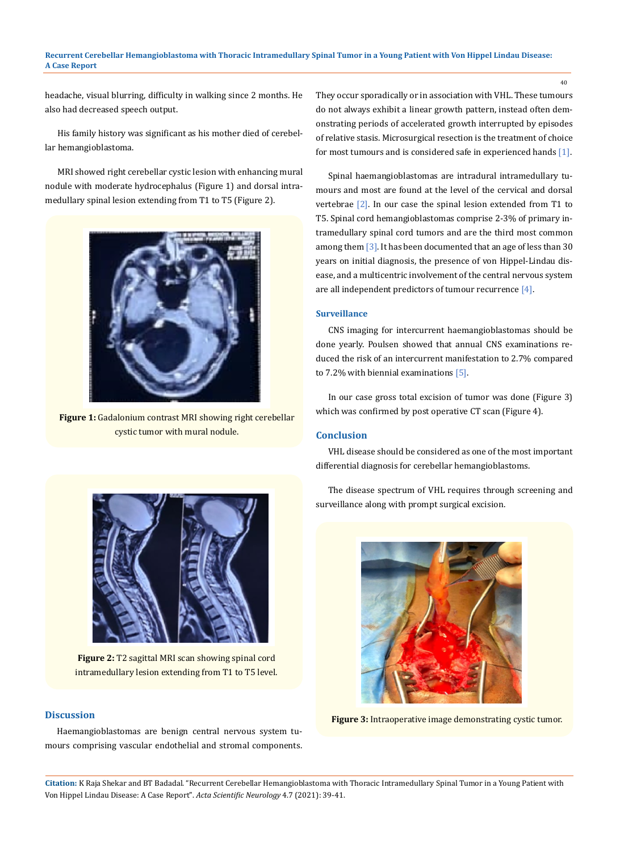#### **Recurrent Cerebellar Hemangioblastoma with Thoracic Intramedullary Spinal Tumor in a Young Patient with Von Hippel Lindau Disease: A Case Report**

headache, visual blurring, difficulty in walking since 2 months. He also had decreased speech output.

His family history was significant as his mother died of cerebellar hemangioblastoma.

MRI showed right cerebellar cystic lesion with enhancing mural nodule with moderate hydrocephalus (Figure 1) and dorsal intramedullary spinal lesion extending from T1 to T5 (Figure 2).



**Figure 1:** Gadalonium contrast MRI showing right cerebellar cystic tumor with mural nodule.

They occur sporadically or in association with VHL. These tumours do not always exhibit a linear growth pattern, instead often demonstrating periods of accelerated growth interrupted by episodes of relative stasis. Microsurgical resection is the treatment of choice for most tumours and is considered safe in experienced hands [1].

40

Spinal haemangioblastomas are intradural intramedullary tumours and most are found at the level of the cervical and dorsal vertebrae [2]. In our case the spinal lesion extended from T1 to T5. Spinal cord hemangioblastomas comprise 2-3% of primary intramedullary spinal cord tumors and are the third most common among them [3]. It has been documented that an age of less than 30 years on initial diagnosis, the presence of von Hippel-Lindau disease, and a multicentric involvement of the central nervous system are all independent predictors of tumour recurrence [4].

#### **Surveillance**

CNS imaging for intercurrent haemangioblastomas should be done yearly. Poulsen showed that annual CNS examinations reduced the risk of an intercurrent manifestation to 2.7% compared to 7.2% with biennial examinations [5].

In our case gross total excision of tumor was done (Figure 3) which was confirmed by post operative CT scan (Figure 4).

### **Conclusion**

VHL disease should be considered as one of the most important differential diagnosis for cerebellar hemangioblastoms.

The disease spectrum of VHL requires through screening and surveillance along with prompt surgical excision.



**Figure 3:** Intraoperative image demonstrating cystic tumor.

**Figure 2:** T2 sagittal MRI scan showing spinal cord intramedullary lesion extending from T1 to T5 level.

## **Discussion**

Haemangioblastomas are benign central nervous system tumours comprising vascular endothelial and stromal components.

**Citation:** K Raja Shekar and BT Badadal*.* "Recurrent Cerebellar Hemangioblastoma with Thoracic Intramedullary Spinal Tumor in a Young Patient with Von Hippel Lindau Disease: A Case Report". *Acta Scientific Neurology* 4.7 (2021): 39-41.